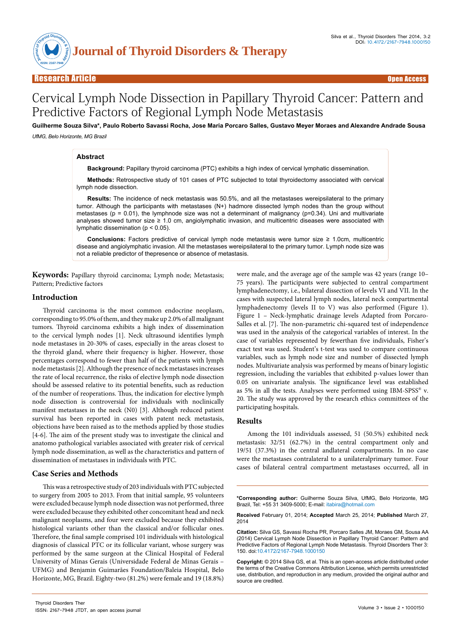

Research Article

# Cervical Lymph Node Dissection in Papillary Thyroid Cancer: Pattern and Predictive Factors of Regional Lymph Node Metastasis

**Guilherme Souza Silva\*, Paulo Roberto Savassi Rocha, Jose Maria Porcaro Salles, Gustavo Meyer Moraes and Alexandre Andrade Sousa** *UfMG, Belo Horizonte, MG Brazil*

#### **Abstract**

**Background:** Papillary thyroid carcinoma (PTC) exhibits a high index of cervical lymphatic dissemination.

**Methods:** Retrospective study of 101 cases of PTC subjected to total thyroidectomy associated with cervical lymph node dissection.

**Results:** The incidence of neck metastasis was 50.5%, and all the metastases wereipsilateral to the primary tumor. Although the participants with metastases (N+) hadmore dissected lymph nodes than the group without metastases ( $p = 0.01$ ), the lymphnode size was not a determinant of malignancy ( $p=0.34$ ). Uni and multivariate analyses showed tumor size ≥ 1.0 cm, angiolymphatic invasion, and multicentric diseases were associated with lymphatic dissemination ( $p < 0.05$ ).

**Conclusions:** Factors predictive of cervical lymph node metastasis were tumor size ≥ 1.0cm, multicentric disease and angiolymphatic invasion. All the metastases wereipsilateral to the primary tumor. Lymph node size was not a reliable predictor of thepresence or absence of metastasis.

**Keywords:** Papillary thyroid carcinoma; Lymph node; Metastasis; Pattern; Predictive factors

## **Introduction**

Thyroid carcinoma is the most common endocrine neoplasm, corresponding to 95.0% of them, and they make up 2.0% of all malignant tumors. Thyroid carcinoma exhibits a high index of dissemination to the cervical lymph nodes [1]. Neck ultrasound identifies lymph node metastases in 20-30% of cases, especially in the areas closest to the thyroid gland, where their frequency is higher. However, those percentages correspond to fewer than half of the patients with lymph node metastasis [2]. Although the presence of neck metastases increases the rate of local recurrence, the risks of elective lymph node dissection should be assessed relative to its potential benefits, such as reduction of the number of reoperations. Thus, the indication for elective lymph node dissection is controversial for individuals with noclinically manifest metastases in the neck (N0) [3]. Although reduced patient survival has been reported in cases with patent neck metastasis, objections have been raised as to the methods applied by those studies [4-6]. The aim of the present study was to investigate the clinical and anatomo pathological variables associated with greater risk of cervical lymph node dissemination, as well as the characteristics and pattern of dissemination of metastases in individuals with PTC.

#### **Case Series and Methods**

This was a retrospective study of 203 individuals with PTC subjected to surgery from 2005 to 2013. From that initial sample, 95 volunteers were excluded because lymph node dissection was not performed, three were excluded because they exhibited other concomitant head and neck malignant neoplasms, and four were excluded because they exhibited histological variants other than the classical and/or follicular ones. Therefore, the final sample comprised 101 individuals with histological diagnosis of classical PTC or its follicular variant, whose surgery was performed by the same surgeon at the Clinical Hospital of Federal University of Minas Gerais (Universidade Federal de Minas Gerais – UFMG) and Benjamin Guimarães Foundation/Baleia Hospital, Belo Horizonte, MG, Brazil. Eighty-two (81.2%) were female and 19 (18.8%)

were male, and the average age of the sample was 42 years (range 10– 75 years). The participants were subjected to central compartment lymphadenectomy, i.e., bilateral dissection of levels VI and VII. In the cases with suspected lateral lymph nodes, lateral neck compartmental lymphadenectomy (levels II to V) was also performed (Figure 1). Figure 1 – Neck-lymphatic drainage levels Adapted from Porcaro-Salles et al. [7]. The non-parametric chi-squared test of independence was used in the analysis of the categorical variables of interest. In the case of variables represented by fewerthan five individuals, Fisher's exact test was used. Student's t-test was used to compare continuous variables, such as lymph node size and number of dissected lymph nodes. Multivariate analysis was performed by means of binary logistic regression, including the variables that exhibited p-values lower than 0.05 on univariate analysis. The significance level was established as 5% in all the tests. Analyses were performed using IBM-SPSS® v. 20. The study was approved by the research ethics committees of the participating hospitals.

### **Results**

Among the 101 individuals assessed, 51 (50.5%) exhibited neck metastasis: 32/51 (62.7%) in the central compartment only and 19/51 (37.3%) in the central andlateral compartments. In no case were the metastases contralateral to a unilateralprimary tumor. Four cases of bilateral central compartment metastases occurred, all in

**\*Corresponding author:** Guilherme Souza Silva, UfMG, Belo Horizonte, MG Brazil, Tel: +55 31 3409-5000; E-mail: itabira@hotmail.com

**Received** February 01, 2014; **Accepted** March 25, 2014; **Published** March 27, 2014

**Citation:** Silva GS, Savassi Rocha PR, Porcaro Salles JM, Moraes GM, Sousa AA (2014) Cervical Lymph Node Dissection in Papillary Thyroid Cancer: Pattern and Predictive Factors of Regional Lymph Node Metastasis. Thyroid Disorders Ther 3: 150. doi:10.4172/2167-7948.1000150

**Copyright:** © 2014 Silva GS, et al. This is an open-access article distributed under the terms of the Creative Commons Attribution License, which permits unrestricted use, distribution, and reproduction in any medium, provided the original author and source are credited.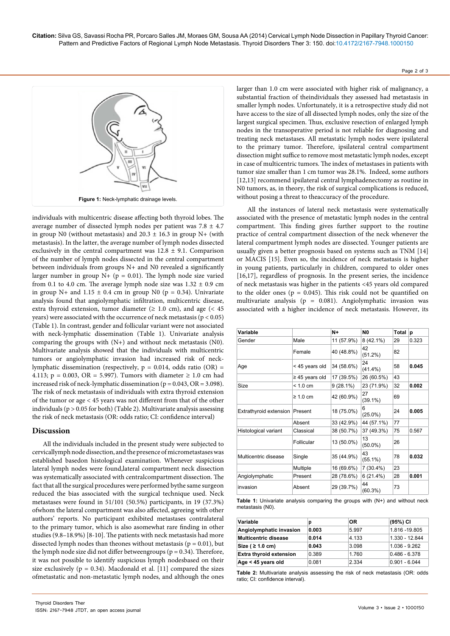

individuals with multicentric disease affecting both thyroid lobes. The average number of dissected lymph nodes per patient was 7.8 ± 4.7 in group N0 (without metastasis) and  $20.3 \pm 16.3$  in group N+ (with metastasis). In the latter, the average number of lymph nodes dissected exclusively in the central compartment was  $12.8 \pm 9.1$ . Comparison of the number of lymph nodes dissected in the central compartment between individuals from groups N+ and N0 revealed a significantly larger number in group  $N+$  ( $p = 0.01$ ). The lymph node size varied from 0.1 to 4.0 cm. The average lymph node size was  $1.32 \pm 0.9$  cm in group N+ and  $1.15 \pm 0.4$  cm in group N0 (p = 0.34). Univariate analysis found that angiolymphatic infiltration, multicentric disease, extra thyroid extension, tumor diameter ( $\geq 1.0$  cm), and age (< 45 years) were associated with the occurrence of neck metastasis ( $p < 0.05$ ) (Table 1). In contrast, gender and follicular variant were not associated with neck-lymphatic dissemination (Table 1). Univariate analysis comparing the groups with (N+) and without neck metastasis (N0). Multivariate analysis showed that the individuals with multicentric tumors or angiolymphatic invasion had increased risk of necklymphatic dissemination (respectively,  $p = 0.014$ , odds ratio (OR) = 4.113; p = 0.003, OR = 5.997). Tumors with diameter ≥ 1.0 cm had increased risk of neck-lymphatic dissemination ( $p = 0.043$ ,  $OR = 3.098$ ). The risk of neck metastasis of individuals with extra thyroid extension of the tumor or age < 45 years was not different from that of the other individuals ( $p > 0.05$  for both) (Table 2). Multivariate analysis assessing the risk of neck metastasis (OR: odds ratio; CI: confidence interval)

## **Discussion**

All the individuals included in the present study were subjected to cervicallymph node dissection, and the presence of micrometastases was established basedon histological examination. Whenever suspicious lateral lymph nodes were found,lateral compartment neck dissection was systematically associated with centralcompartment dissection. The fact that all the surgical procedures were performed bythe same surgeon reduced the bias associated with the surgical technique used. Neck metastases were found in 51/101 (50.5%) participants, in 19 (37.3%) ofwhom the lateral compartment was also affected, agreeing with other authors' reports. No participant exhibited metastases contralateral to the primary tumor, which is also asomewhat rare finding in other studies (9.8–18.9%) [8-10]. The patients with neck metastasis had more dissected lymph nodes than theones without metastasis ( $p = 0.01$ ), but the lymph node size did not differ betweengroups ( $p = 0.34$ ). Therefore, it was not possible to identify suspicious lymph nodesbased on their size exclusively ( $p = 0.34$ ). Macdonald et al. [11] compared the sizes ofmetastatic and non-metastatic lymph nodes, and although the ones larger than 1.0 cm were associated with higher risk of malignancy, a substantial fraction of theindividuals they assessed had metastasis in smaller lymph nodes. Unfortunately, it is a retrospective study did not have access to the size of all dissected lymph nodes, only the size of the largest surgical specimen. Thus, exclusive resection of enlarged lymph nodes in the transoperative period is not reliable for diagnosing and treating neck metastases. All metastatic lymph nodes were ipsilateral to the primary tumor. Therefore, ipsilateral central compartment dissection might suffice to remove most metastatic lymph nodes, except in case of multicentric tumors. The index of metastases in patients with tumor size smaller than 1 cm tumor was 28.1%. Indeed, some authors [12,13] recommend ipsilateral central lymphadenectomy as routine in N0 tumors, as, in theory, the risk of surgical complications is reduced, without posing a threat to theaccuracy of the procedure.

All the instances of lateral neck metastasis were systematically associated with the presence of metastatic lymph nodes in the central compartment. This finding gives further support to the routine practice of central compartment dissection of the neck whenever the lateral compartment lymph nodes are dissected. Younger patients are usually given a better prognosis based on systems such as TNM [14] or MACIS [15]. Even so, the incidence of neck metastasis is higher in young patients, particularly in children, compared to older ones [16,17], regardless of prognosis. In the present series, the incidence of neck metastasis was higher in the patients <45 years old compared to the older ones ( $p = 0.045$ ). This risk could not be quantified on multivariate analysis ( $p = 0.081$ ). Angiolymphatic invasion was associated with a higher incidence of neck metastasis. However, its

| Variable                       |                     | $N+$        | N <sub>0</sub>   | <b>Total</b> | p     |
|--------------------------------|---------------------|-------------|------------------|--------------|-------|
| Gender                         | Male                | 11 (57.9%)  | $8(42.1\%)$      | 29           | 0.323 |
|                                | Female              | 40 (48.8%)  | 42<br>$(51.2\%)$ | 82           |       |
| Age                            | < 45 years old      | 34 (58.6%)  | 24<br>$(41.4\%)$ | 58           | 0.045 |
|                                | $\geq$ 45 years old | 17 (39.5%)  | 26 (60.5%)       | 43           |       |
| Size                           | < 1.0 cm            | $9(28.1\%)$ | 23 (71.9%)       | 32           | 0.002 |
|                                | $\geq 1.0$ cm       | 42 (60.9%)  | 27<br>$(39.1\%)$ | 69           |       |
| Extrathyroid extension Present |                     | 18 (75.0%)  | 6<br>$(25.0\%)$  | 24           | 0.005 |
|                                | Absent              | 33 (42.9%)  | 44 (57.1%)       | 77           |       |
| Histological variant           | Classical           | 38 (50.7%)  | 37 (49.3%)       | 75           | 0.567 |
|                                | Follicular          | 13 (50.0%)  | 13<br>$(50.0\%)$ | 26           |       |
| Multicentric disease           | Single              | 35 (44.9%)  | 43<br>$(55.1\%)$ | 78           | 0.032 |
|                                | Multiple            | 16 (69.6%)  | $7(30.4\%)$      | 23           |       |
| Angiolymphatic                 | Present             | 28 (78.6%)  | 6(21.4%)         | 28           | 0.001 |
| invasion                       | Absent              | 29 (39.7%)  | 44<br>$(60.3\%)$ | 73           |       |

**Table 1:** Univariate analysis comparing the groups with (N+) and without neck metastasis (N0).

| Variable                       | р     | OR.   | (95%) CI        |
|--------------------------------|-------|-------|-----------------|
| Angiolymphatic invasion        | 0.003 | 5.997 | 1.816 - 19.805  |
| <b>Multicentric disease</b>    | 0.014 | 4.133 | 1.330 - 12.844  |
| Size ( $\geq$ 1.0 cm)          | 0.043 | 3.098 | $1.036 - 9.262$ |
| <b>Extra thyroid extension</b> | 0.389 | 1.760 | $0.486 - 6.378$ |
| Age < 45 years old             | 0.081 | 2.334 | $0.901 - 6.044$ |

**Table 2:** Multivariate analysis assessing the risk of neck metastasis (OR: odds ratio; CI: confidence interval).